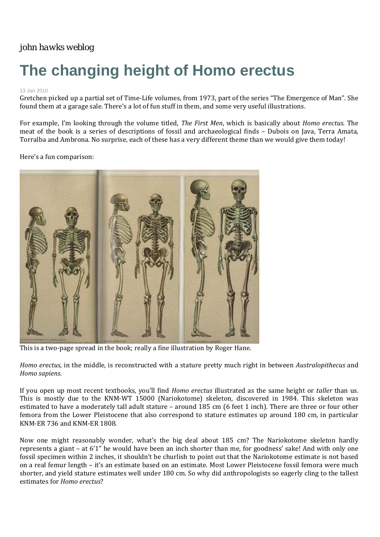## *[john hawks weblog](http://johnhawks.net/)*

## **The changing height of Homo erectus**

## 13 Jan 2010

Gretchen picked up a partial set of Time‐Life volumes, from 1973, part of the series "The Emergence of Man". She found them at a garage sale. There's a lot of fun stuff in them, and some very useful illustrations.

For example, I'm looking through the volume titled, *The First Men*, which is basically about *Homo erectus*. The meat of the book is a series of descriptions of fossil and archaeological finds – Dubois on Java, Terra Amata, Torralba and Ambrona. No surprise, each of these has a very different theme than we would give them today!

## Here's a fun comparison:



This is a two-page spread in the book; really a fine illustration by Roger Hane.

*Homo erectus*, in the middle, is reconstructed with a stature pretty much right in between *Australopithecus* and *Homo sapiens*.

If you open up most recent textbooks, you'll find *Homo erectus* illustrated as the same height or *taller* than us. This is mostly due to the KNM-WT 15000 (Nariokotome) skeleton, discovered in 1984. This skeleton was estimated to have a moderately tall adult stature – around 185 cm (6 feet 1 inch). There are three or four other femora from the Lower Pleistocene that also correspond to stature estimates up around 180 cm, in particular KNM‐ER 736 and KNM‐ER 1808.

Now one might reasonably wonder, what's the big deal about 185 cm? The Nariokotome skeleton hardly represents a giant – at 6'1" he would have been an inch shorter than me, for goodness' sake! And with only one fossil specimen within 2 inches, it shouldn't be churlish to point out that the Nariokotome estimate is not based on a real femur length – it's an estimate based on an estimate. Most Lower Pleistocene fossil femora were much shorter, and yield stature estimates well under 180 cm. So why did anthropologists so eagerly cling to the tallest estimates for *Homo erectus*?